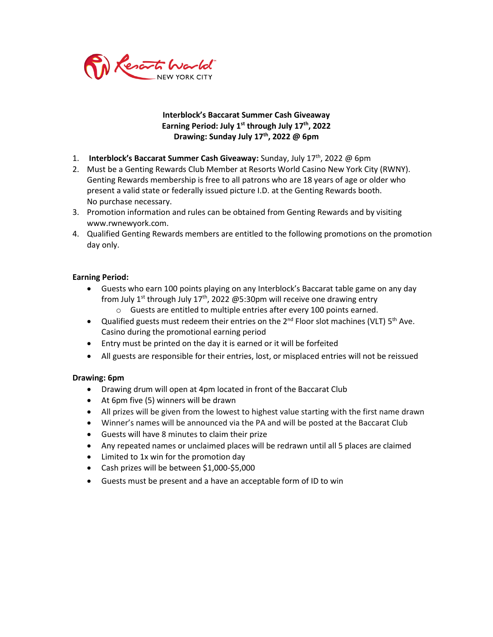

## **Interblock's Baccarat Summer Cash Giveaway Earning Period: July 1 st through July 17 th, 2022 Drawing: Sunday July 17 th , 2022 @ 6pm**

- 1. **Interblock's Baccarat Summer Cash Giveaway:** Sunday, July 17<sup>th</sup>, 2022 @ 6pm
- 2. Must be a Genting Rewards Club Member at Resorts World Casino New York City (RWNY). Genting Rewards membership is free to all patrons who are 18 years of age or older who present a valid state or federally issued picture I.D. at the Genting Rewards booth. No purchase necessary.
- 3. Promotion information and rules can be obtained from Genting Rewards and by visiting www.rwnewyork.com.
- 4. Qualified Genting Rewards members are entitled to the following promotions on the promotion day only.

## **Earning Period:**

- Guests who earn 100 points playing on any Interblock's Baccarat table game on any day from July 1<sup>st</sup> through July 17<sup>th</sup>, 2022 @5:30pm will receive one drawing entry
	- o Guests are entitled to multiple entries after every 100 points earned.
- Qualified guests must redeem their entries on the  $2^{nd}$  Floor slot machines (VLT)  $5^{th}$  Ave. Casino during the promotional earning period
- Entry must be printed on the day it is earned or it will be forfeited
- All guests are responsible for their entries, lost, or misplaced entries will not be reissued

## **Drawing: 6pm**

- Drawing drum will open at 4pm located in front of the Baccarat Club
- At 6pm five (5) winners will be drawn
- All prizes will be given from the lowest to highest value starting with the first name drawn
- Winner's names will be announced via the PA and will be posted at the Baccarat Club
- Guests will have 8 minutes to claim their prize
- Any repeated names or unclaimed places will be redrawn until all 5 places are claimed
- Limited to 1x win for the promotion day
- Cash prizes will be between \$1,000-\$5,000
- Guests must be present and a have an acceptable form of ID to win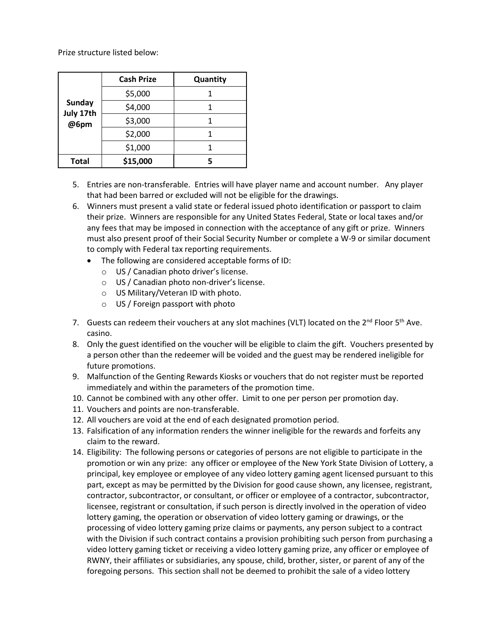Prize structure listed below:

| <b>Sunday</b><br>July 17th<br>@6pm | <b>Cash Prize</b> | Quantity |
|------------------------------------|-------------------|----------|
|                                    | \$5,000           |          |
|                                    | \$4,000           |          |
|                                    | \$3,000           |          |
|                                    | \$2,000           |          |
|                                    | \$1,000           |          |
| <b>Total</b>                       | \$15,000          |          |

- 5. Entries are non-transferable. Entries will have player name and account number. Any player that had been barred or excluded will not be eligible for the drawings.
- 6. Winners must present a valid state or federal issued photo identification or passport to claim their prize. Winners are responsible for any United States Federal, State or local taxes and/or any fees that may be imposed in connection with the acceptance of any gift or prize. Winners must also present proof of their Social Security Number or complete a W-9 or similar document to comply with Federal tax reporting requirements.
	- The following are considered acceptable forms of ID:
		- o US / Canadian photo driver's license.
		- o US / Canadian photo non-driver's license.
		- o US Military/Veteran ID with photo.
		- o US / Foreign passport with photo
- 7. Guests can redeem their vouchers at any slot machines (VLT) located on the 2<sup>nd</sup> Floor 5<sup>th</sup> Ave. casino.
- 8. Only the guest identified on the voucher will be eligible to claim the gift. Vouchers presented by a person other than the redeemer will be voided and the guest may be rendered ineligible for future promotions.
- 9. Malfunction of the Genting Rewards Kiosks or vouchers that do not register must be reported immediately and within the parameters of the promotion time.
- 10. Cannot be combined with any other offer. Limit to one per person per promotion day.
- 11. Vouchers and points are non-transferable.
- 12. All vouchers are void at the end of each designated promotion period.
- 13. Falsification of any information renders the winner ineligible for the rewards and forfeits any claim to the reward.
- 14. Eligibility: The following persons or categories of persons are not eligible to participate in the promotion or win any prize: any officer or employee of the New York State Division of Lottery, a principal, key employee or employee of any video lottery gaming agent licensed pursuant to this part, except as may be permitted by the Division for good cause shown, any licensee, registrant, contractor, subcontractor, or consultant, or officer or employee of a contractor, subcontractor, licensee, registrant or consultation, if such person is directly involved in the operation of video lottery gaming, the operation or observation of video lottery gaming or drawings, or the processing of video lottery gaming prize claims or payments, any person subject to a contract with the Division if such contract contains a provision prohibiting such person from purchasing a video lottery gaming ticket or receiving a video lottery gaming prize, any officer or employee of RWNY, their affiliates or subsidiaries, any spouse, child, brother, sister, or parent of any of the foregoing persons. This section shall not be deemed to prohibit the sale of a video lottery